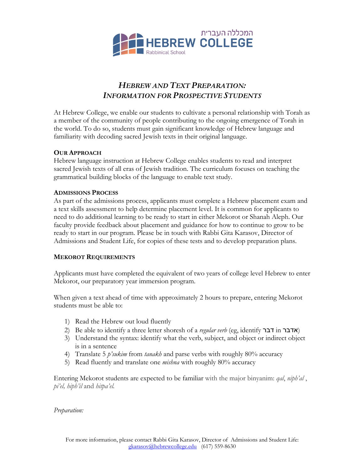

# *HEBREW AND TEXT PREPARATION: INFORMATION FOR PROSPECTIVE STUDENTS*

At Hebrew College, we enable our students to cultivate a personal relationship with Torah as a member of the community of people contributing to the ongoing emergence of Torah in the world. To do so, students must gain significant knowledge of Hebrew language and familiarity with decoding sacred Jewish texts in their original language.

## **OUR APPROACH**

Hebrew language instruction at Hebrew College enables students to read and interpret sacred Jewish texts of all eras of Jewish tradition. The curriculum focuses on teaching the grammatical building blocks of the language to enable text study.

### **ADMISSIONS PROCESS**

As part of the admissions process, applicants must complete a Hebrew placement exam and a text skills assessment to help determine placement level. It is common for applicants to need to do additional learning to be ready to start in either Mekorot or Shanah Aleph. Our faculty provide feedback about placement and guidance for how to continue to grow to be ready to start in our program. Please be in touch with Rabbi Gita Karasov, Director of Admissions and Student Life, for copies of these tests and to develop preparation plans.

## **MEKOROT REQUIREMENTS**

Applicants must have completed the equivalent of two years of college level Hebrew to enter Mekorot, our preparatory year immersion program.

When given a text ahead of time with approximately 2 hours to prepare, entering Mekorot students must be able to:

- 1) Read the Hebrew out loud fluently
- 2) Be able to identify a three letter shoresh of a *regular verb* (eg, identify רבד in רבדא(
- 3) Understand the syntax: identify what the verb, subject, and object or indirect object is in a sentence
- 4) Translate 5 *p'sukim* from *tanakh* and parse verbs with roughly 80% accuracy
- 5) Read fluently and translate one *mishna* with roughly 80% accuracy

Entering Mekorot students are expected to be familiar with the major binyanim: *qal*, *niph'al* , *pi'el, hiph'il* and *hitpa'el.*

*Preparation:*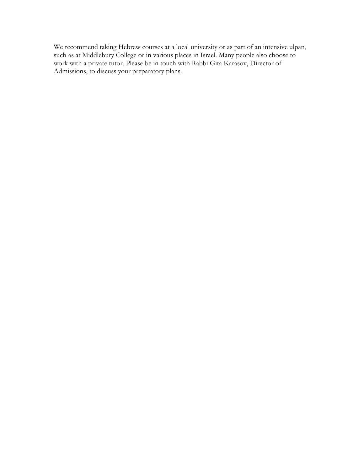We recommend taking Hebrew courses at a local university or as part of an intensive ulpan, such as at Middlebury College or in various places in Israel. Many people also choose to work with a private tutor. Please be in touch with Rabbi Gita Karasov, Director of Admissions, to discuss your preparatory plans.